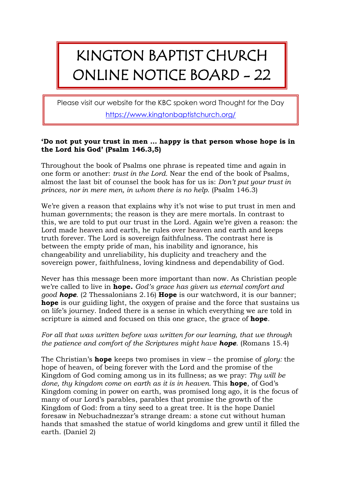## KINGTON BAPTIST CHURCH ONLINE NOTICE BOARD - 22

Please visit our website for the KBC spoken word Thought for the Day <https://www.kingtonbaptistchurch.org/>

## **'Do not put your trust in men … happy is that person whose hope is in the Lord his God' (Psalm 146.3,5)**

Throughout the book of Psalms one phrase is repeated time and again in one form or another: *trust in the Lord.* Near the end of the book of Psalms, almost the last bit of counsel the book has for us is: *Don't put your trust in princes, nor in mere men, in whom there is no help.* (Psalm 146.3)

We're given a reason that explains why it's not wise to put trust in men and human governments; the reason is they are mere mortals. In contrast to this, we are told to put our trust in the Lord. Again we're given a reason: the Lord made heaven and earth, he rules over heaven and earth and keeps truth forever. The Lord is sovereign faithfulness. The contrast here is between the empty pride of man, his inability and ignorance, his changeability and unreliability, his duplicity and treachery and the sovereign power, faithfulness, loving kindness and dependability of God.

Never has this message been more important than now. As Christian people we're called to live in **hope***. God's grace has given us eternal comfort and good hope.* (2 Thessalonians 2.16) **Hope** is our watchword, it is our banner; **hope** is our guiding light, the oxygen of praise and the force that sustains us on life's journey. Indeed there is a sense in which everything we are told in scripture is aimed and focused on this one grace, the grace of **hope**.

## *For all that was written before was written for our learning, that we through the patience and comfort of the Scriptures might have hope.* (Romans 15.4)

The Christian's **hope** keeps two promises in view – the promise of *glory:* the hope of heaven, of being forever with the Lord and the promise of the Kingdom of God coming among us in its fullness; as we pray: *Thy will be done, thy kingdom come on earth as it is in heaven.* This **hope**, of God's Kingdom coming in power on earth, was promised long ago, it is the focus of many of our Lord's parables, parables that promise the growth of the Kingdom of God: from a tiny seed to a great tree. It is the hope Daniel foresaw in Nebuchadnezzar's strange dream: a stone cut without human hands that smashed the statue of world kingdoms and grew until it filled the earth. (Daniel 2)